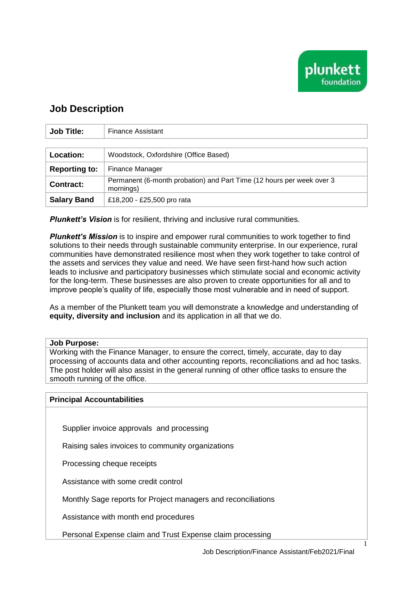

## **Job Description**

| <b>Job Title:</b>    | <b>Finance Assistant</b>                                                           |  |
|----------------------|------------------------------------------------------------------------------------|--|
|                      |                                                                                    |  |
| <b>Location:</b>     | Woodstock, Oxfordshire (Office Based)                                              |  |
| <b>Reporting to:</b> | Finance Manager                                                                    |  |
| <b>Contract:</b>     | Permanent (6-month probation) and Part Time (12 hours per week over 3<br>mornings) |  |
| <b>Salary Band</b>   | £18,200 - £25,500 pro rata                                                         |  |

*Plunkett's Vision* is for resilient, thriving and inclusive rural communities.

*Plunkett's Mission* is to inspire and empower rural communities to work together to find solutions to their needs through sustainable community enterprise. In our experience, rural communities have demonstrated resilience most when they work together to take control of the assets and services they value and need. We have seen first-hand how such action leads to inclusive and participatory businesses which stimulate social and economic activity for the long-term. These businesses are also proven to create opportunities for all and to improve people's quality of life, especially those most vulnerable and in need of support.

As a member of the Plunkett team you will demonstrate a knowledge and understanding of **equity, diversity and inclusion** and its application in all that we do.

## **Job Purpose:**

Working with the Finance Manager, to ensure the correct, timely, accurate, day to day processing of accounts data and other accounting reports, reconciliations and ad hoc tasks. The post holder will also assist in the general running of other office tasks to ensure the smooth running of the office.

## **Principal Accountabilities**

Supplier invoice approvals and processing

Raising sales invoices to community organizations

Processing cheque receipts

Assistance with some credit control

Monthly Sage reports for Project managers and reconciliations

Assistance with month end procedures

Personal Expense claim and Trust Expense claim processing

1